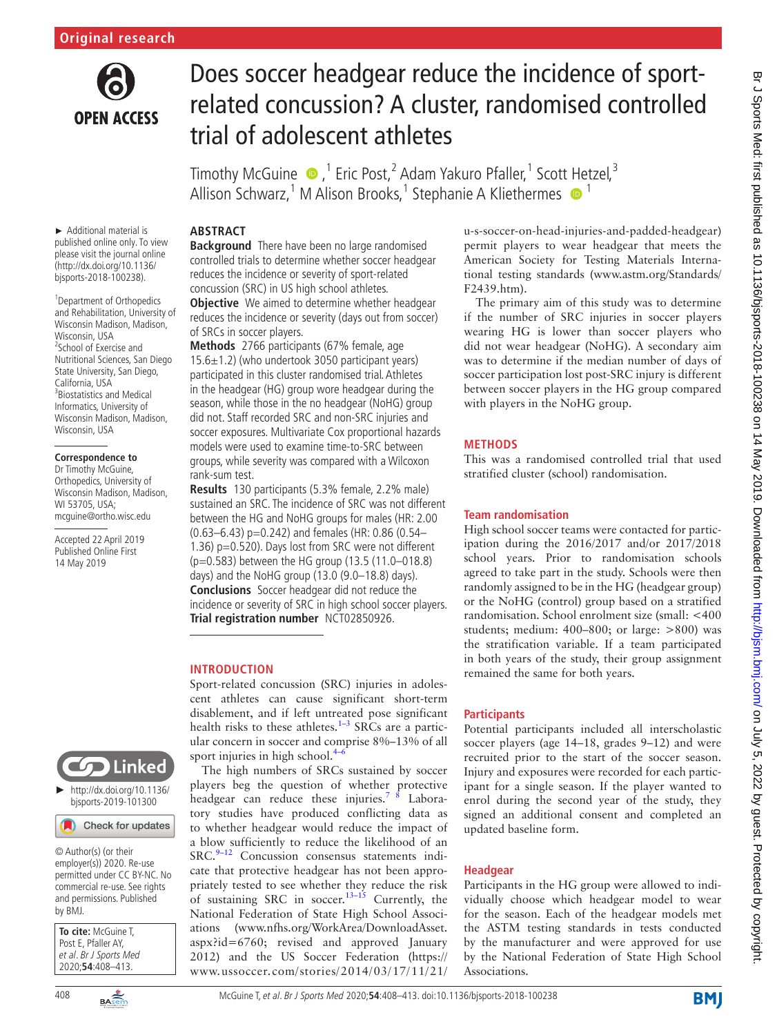

# Does soccer headgear reduce the incidence of sportrelated concussion? A cluster, randomised controlled trial of adolescent athletes

TimothyMcGuine ●,<sup>1</sup> Eric Post,<sup>2</sup> Adam Yakuro Pfaller,<sup>1</sup> Scott Hetzel,<sup>3</sup> Allison Schwarz,<sup>1</sup> M Alison Brooks,<sup>1</sup> Stephanie A Kliethermes <sup>1</sup>

#### ► Additional material is published online only. To view please visit the journal online (http://dx.doi.org/10.1136/ bjsports-2018-100238).

<sup>1</sup> Department of Orthopedics and Rehabilitation, University of Wisconsin Madison, Madison, Wisconsin, USA <sup>2</sup>School of Exercise and Nutritional Sciences, San Diego State University, San Diego, California, USA <sup>3</sup> Biostatistics and Medical Informatics, University of Wisconsin Madison, Madison, Wisconsin, USA

#### **Correspondence to**

Dr Timothy McGuine, Orthopedics, University of Wisconsin Madison, Madison, WI 53705, USA; mcguine@ortho.wisc.edu

Accepted 22 April 2019 Published Online First 14 May 2019



[bjsports-2019-101300](http://dx.doi.org/10.1136/bjsports-2019-101300)

### Check for updates

© Author(s) (or their employer(s)) 2020. Re-use permitted under CC BY-NC. No commercial re-use. See rights and permissions. Published by BMJ.

| <b>To cite:</b> McGuine T,<br>Post E, Pfaller AY, |
|---------------------------------------------------|
|                                                   |
| et al. Br J Sports Med                            |
| $2020; 54:408 - 413.$                             |

**Abstract Background** There have been no large randomised controlled trials to determine whether soccer headgear reduces the incidence or severity of sport-related concussion (SRC) in US high school athletes.

**Objective** We aimed to determine whether headgear reduces the incidence or severity (days out from soccer) of SRCs in soccer players.

**Methods** 2766 participants (67% female, age 15.6±1.2) (who undertook 3050 participant years) participated in this cluster randomised trial. Athletes in the headgear (HG) group wore headgear during the season, while those in the no headgear (NoHG) group did not. Staff recorded SRC and non-SRC injuries and soccer exposures. Multivariate Cox proportional hazards models were used to examine time-to-SRC between groups, while severity was compared with a Wilcoxon rank-sum test.

**Results** 130 participants (5.3% female, 2.2% male) sustained an SRC. The incidence of SRC was not different between the HG and NoHG groups for males (HR: 2.00 (0.63–6.43) p=0.242) and females (HR: 0.86 (0.54– 1.36) p=0.520). Days lost from SRC were not different (p=0.583) between the HG group (13.5 (11.0–018.8) days) and the NoHG group (13.0 (9.0–18.8) days). **Conclusions** Soccer headgear did not reduce the incidence or severity of SRC in high school soccer players. **Trial registration number** <NCT02850926>.

# **Introduction**

Sport-related concussion (SRC) injuries in adolescent athletes can cause significant short-term disablement, and if left untreated pose significant health risks to these athletes.<sup>1-3</sup> SRCs are a particular concern in soccer and comprise 8%–13% of all sport injuries in high school. $4$ 

The high numbers of SRCs sustained by soccer players beg the question of whether protective headgear can reduce these injuries.<sup>7</sup> <sup>8</sup> Laboratory studies have produced conflicting data as to whether headgear would reduce the impact of a blow sufficiently to reduce the likelihood of an  $SRC.<sup>9-12</sup>$  Concussion consensus statements indicate that protective headgear has not been appropriately tested to see whether they reduce the risk of sustaining SRC in soccer.<sup>13-15</sup> Currently, the National Federation of State High School Associations ([www.nfhs.org/WorkArea/DownloadAsset.](www.nfhs.org/WorkArea/DownloadAsset.aspx?id=6760) [aspx?id=6760;](www.nfhs.org/WorkArea/DownloadAsset.aspx?id=6760) revised and approved January 2012) and the US Soccer Federation ([https://](https://www.ussoccer.com/stories/2014/03/17/11/21/u-s-soccer-on-head-injuries-and-padded-headgear) [www.ussoccer.com/stories/2014/03/17/11/21/](https://www.ussoccer.com/stories/2014/03/17/11/21/u-s-soccer-on-head-injuries-and-padded-headgear)

[u-s-soccer-on-head-injuries-and-padded-headgear](https://www.ussoccer.com/stories/2014/03/17/11/21/u-s-soccer-on-head-injuries-and-padded-headgear)) permit players to wear headgear that meets the American Society for Testing Materials International testing standards [\(www.astm.org/Standards/](www.astm.org/Standards/F2439.htm.) [F2439.htm\)](www.astm.org/Standards/F2439.htm.).

The primary aim of this study was to determine if the number of SRC injuries in soccer players wearing HG is lower than soccer players who did not wear headgear (NoHG). A secondary aim was to determine if the median number of days of soccer participation lost post-SRC injury is different between soccer players in the HG group compared with players in the NoHG group.

# **Methods**

This was a randomised controlled trial that used stratified cluster (school) randomisation.

# **Team randomisation**

High school soccer teams were contacted for participation during the 2016/2017 and/or 2017/2018 school years. Prior to randomisation schools agreed to take part in the study. Schools were then randomly assigned to be in the HG (headgear group) or the NoHG (control) group based on a stratified randomisation. School enrolment size (small: <400 students; medium: 400–800; or large: >800) was the stratification variable. If a team participated in both years of the study, their group assignment remained the same for both years.

## **Participants**

Potential participants included all interscholastic soccer players (age 14–18, grades 9–12) and were recruited prior to the start of the soccer season. Injury and exposures were recorded for each participant for a single season. If the player wanted to enrol during the second year of the study, they signed an additional consent and completed an updated baseline form.

## **Headgear**

Participants in the HG group were allowed to individually choose which headgear model to wear for the season. Each of the headgear models met the ASTM testing standards in tests conducted by the manufacturer and were approved for use by the National Federation of State High School Associations.

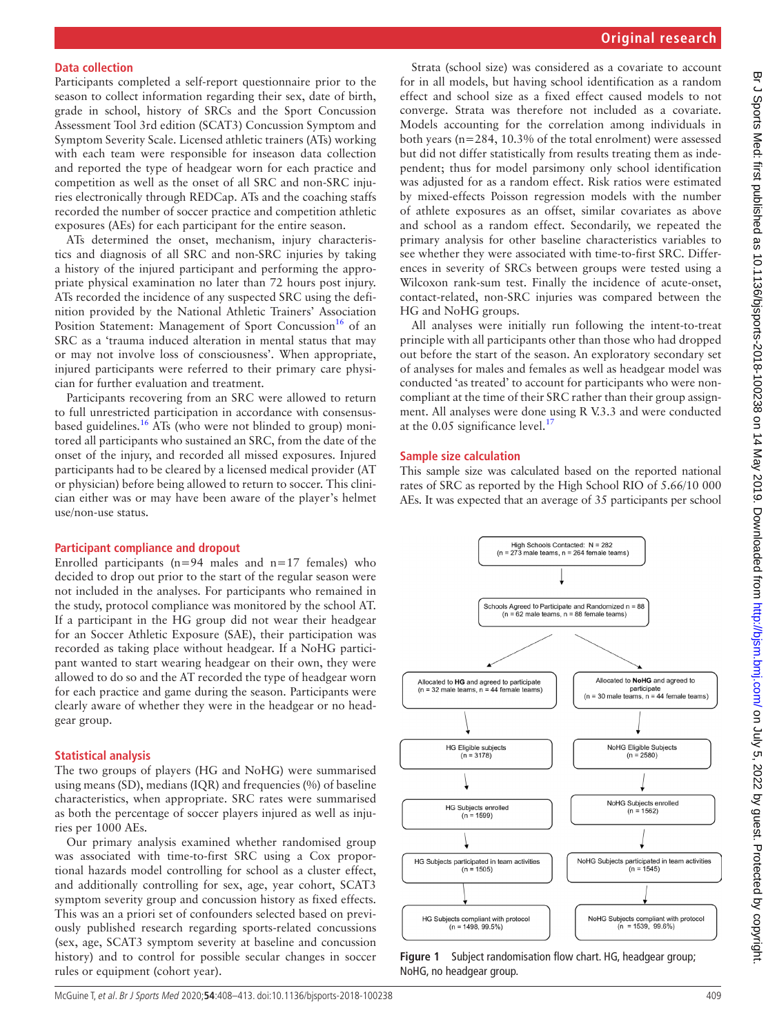Participants completed a self-report questionnaire prior to the season to collect information regarding their sex, date of birth, grade in school, history of SRCs and the Sport Concussion Assessment Tool 3rd edition (SCAT3) Concussion Symptom and Symptom Severity Scale. Licensed athletic trainers (ATs) working with each team were responsible for inseason data collection and reported the type of headgear worn for each practice and competition as well as the onset of all SRC and non-SRC injuries electronically through REDCap. ATs and the coaching staffs recorded the number of soccer practice and competition athletic exposures (AEs) for each participant for the entire season.

ATs determined the onset, mechanism, injury characteristics and diagnosis of all SRC and non-SRC injuries by taking a history of the injured participant and performing the appropriate physical examination no later than 72 hours post injury. ATs recorded the incidence of any suspected SRC using the definition provided by the National Athletic Trainers' Association Position Statement: Management of Sport Concussion<sup>16</sup> of an SRC as a 'trauma induced alteration in mental status that may or may not involve loss of consciousness'. When appropriate, injured participants were referred to their primary care physician for further evaluation and treatment.

Participants recovering from an SRC were allowed to return to full unrestricted participation in accordance with consensusbased guidelines[.16](#page-5-5) ATs (who were not blinded to group) monitored all participants who sustained an SRC, from the date of the onset of the injury, and recorded all missed exposures. Injured participants had to be cleared by a licensed medical provider (AT or physician) before being allowed to return to soccer. This clinician either was or may have been aware of the player's helmet use/non-use status.

#### **Participant compliance and dropout**

Enrolled participants ( $n=94$  males and  $n=17$  females) who decided to drop out prior to the start of the regular season were not included in the analyses. For participants who remained in the study, protocol compliance was monitored by the school AT. If a participant in the HG group did not wear their headgear for an Soccer Athletic Exposure (SAE), their participation was recorded as taking place without headgear. If a NoHG participant wanted to start wearing headgear on their own, they were allowed to do so and the AT recorded the type of headgear worn for each practice and game during the season. Participants were clearly aware of whether they were in the headgear or no headgear group.

### **Statistical analysis**

The two groups of players (HG and NoHG) were summarised using means (SD), medians (IQR) and frequencies (%) of baseline characteristics, when appropriate. SRC rates were summarised as both the percentage of soccer players injured as well as injuries per 1000 AEs.

Our primary analysis examined whether randomised group was associated with time-to-first SRC using a Cox proportional hazards model controlling for school as a cluster effect, and additionally controlling for sex, age, year cohort, SCAT3 symptom severity group and concussion history as fixed effects. This was an a priori set of confounders selected based on previously published research regarding sports-related concussions (sex, age, SCAT3 symptom severity at baseline and concussion history) and to control for possible secular changes in soccer rules or equipment (cohort year).

Strata (school size) was considered as a covariate to account for in all models, but having school identification as a random effect and school size as a fixed effect caused models to not converge. Strata was therefore not included as a covariate. Models accounting for the correlation among individuals in both years (n=284, 10.3% of the total enrolment) were assessed but did not differ statistically from results treating them as independent; thus for model parsimony only school identification was adjusted for as a random effect. Risk ratios were estimated by mixed-effects Poisson regression models with the number of athlete exposures as an offset, similar covariates as above and school as a random effect. Secondarily, we repeated the primary analysis for other baseline characteristics variables to see whether they were associated with time-to-first SRC. Differences in severity of SRCs between groups were tested using a Wilcoxon rank-sum test. Finally the incidence of acute-onset, contact-related, non-SRC injuries was compared between the HG and NoHG groups.

All analyses were initially run following the intent-to-treat principle with all participants other than those who had dropped out before the start of the season. An exploratory secondary set of analyses for males and females as well as headgear model was conducted 'as treated' to account for participants who were noncompliant at the time of their SRC rather than their group assignment. All analyses were done using R V.3.3 and were conducted at the  $0.05$  significance level.<sup>[17](#page-5-6)</sup>

## **Sample size calculation**

This sample size was calculated based on the reported national rates of SRC as reported by the High School RIO of 5.66/10 000 AEs. It was expected that an average of 35 participants per school



<span id="page-1-0"></span>**Figure 1** Subject randomisation flow chart. HG, headgear group; NoHG, no headgear group.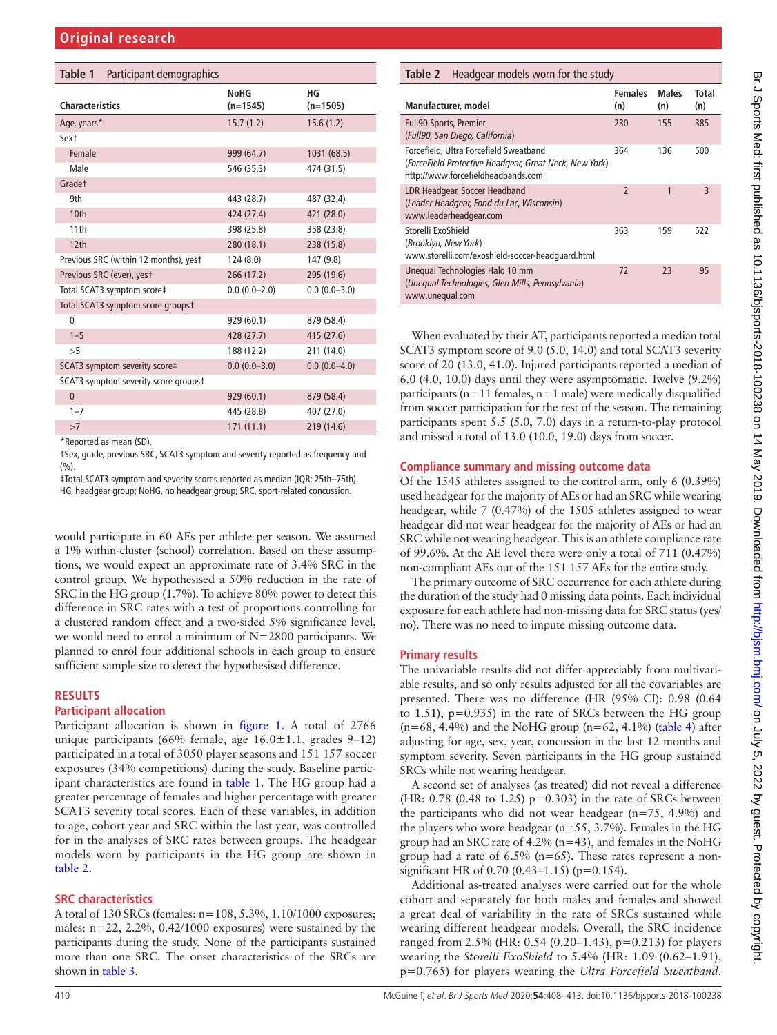<span id="page-2-0"></span>

| Table 1<br>Participant demographics   |                           |                  |
|---------------------------------------|---------------------------|------------------|
| <b>Characteristics</b>                | <b>NoHG</b><br>$(n=1545)$ | НG<br>$(n=1505)$ |
| Age, years*                           | 15.7(1.2)                 | 15.6(1.2)        |
| Sext                                  |                           |                  |
| Female                                | 999 (64.7)                | 1031 (68.5)      |
| Male                                  | 546 (35.3)                | 474 (31.5)       |
| Gradet                                |                           |                  |
| 9th                                   | 443 (28.7)                | 487 (32.4)       |
| 10 <sub>th</sub>                      | 424 (27.4)                | 421 (28.0)       |
| 11th                                  | 398 (25.8)                | 358 (23.8)       |
| 12 <sup>th</sup>                      | 280 (18.1)                | 238 (15.8)       |
| Previous SRC (within 12 months), yest | 124(8.0)                  | 147 (9.8)        |
| Previous SRC (ever), yest             | 266 (17.2)                | 295 (19.6)       |
| Total SCAT3 symptom score‡            | $0.0(0.0-2.0)$            | $0.0(0.0 - 3.0)$ |
| Total SCAT3 symptom score groupst     |                           |                  |
| $\mathbf{0}$                          | 929 (60.1)                | 879 (58.4)       |
| $1 - 5$                               | 428 (27.7)                | 415 (27.6)       |
| >5                                    | 188 (12.2)                | 211 (14.0)       |
| SCAT3 symptom severity score‡         | $0.0(0.0 - 3.0)$          | $0.0(0.0-4.0)$   |
| SCAT3 symptom severity score groupst  |                           |                  |
| $\mathbf{0}$                          | 929(60.1)                 | 879 (58.4)       |
| $1 - 7$                               | 445 (28.8)                | 407 (27.0)       |
| >7                                    | 171(11.1)                 | 219 (14.6)       |
| *Reported as mean (SD).               |                           |                  |

\*Reported as mean (SD).

†Sex, grade, previous SRC, SCAT3 symptom and severity reported as frequency and  $(9/6)$ .

‡Total SCAT3 symptom and severity scores reported as median (IQR: 25th–75th).

HG, headgear group; NoHG, no headgear group; SRC, sport-related concussion.

would participate in 60 AEs per athlete per season. We assumed a 1% within-cluster (school) correlation. Based on these assumptions, we would expect an approximate rate of 3.4% SRC in the control group. We hypothesised a 50% reduction in the rate of SRC in the HG group (1.7%). To achieve 80% power to detect this difference in SRC rates with a test of proportions controlling for a clustered random effect and a two-sided 5% significance level, we would need to enrol a minimum of N=2800 participants. We planned to enrol four additional schools in each group to ensure sufficient sample size to detect the hypothesised difference.

### **Results**

### **Participant allocation**

Participant allocation is shown in [figure](#page-1-0) 1. A total of 2766 unique participants (66% female, age 16.0±1.1, grades 9–12) participated in a total of 3050 player seasons and 151 157 soccer exposures (34% competitions) during the study. Baseline participant characteristics are found in [table](#page-2-0) 1. The HG group had a greater percentage of females and higher percentage with greater SCAT3 severity total scores. Each of these variables, in addition to age, cohort year and SRC within the last year, was controlled for in the analyses of SRC rates between groups. The headgear models worn by participants in the HG group are shown in [table](#page-2-1) 2.

### **SRC characteristics**

A total of 130 SRCs (females: n=108, 5.3%, 1.10/1000 exposures; males: n=22, 2.2%, 0.42/1000 exposures) were sustained by the participants during the study. None of the participants sustained more than one SRC. The onset characteristics of the SRCs are shown in [table](#page-3-0) 3.

## <span id="page-2-1"></span>**Table 2** Headgear models worn for the study

| Manufacturer, model                                                                                                                    | <b>Females</b><br>(n)    | <b>Males</b><br>(n) | Total<br>(n) |
|----------------------------------------------------------------------------------------------------------------------------------------|--------------------------|---------------------|--------------|
| <b>Full90 Sports, Premier</b><br>(Full90, San Diego, California)                                                                       | 230                      | 155                 | 385          |
| Forcefield, Ultra Forcefield Sweatband<br>(ForceField Protective Headgear, Great Neck, New York)<br>http://www.forcefieldheadbands.com | 364                      | 136                 | 500          |
| LDR Headgear, Soccer Headband<br>(Leader Headgear, Fond du Lac, Wisconsin)<br>www.leaderheadgear.com                                   | $\overline{\phantom{0}}$ | 1                   | 3            |
| Storelli ExoShield<br>(Brooklyn, New York)<br>www.storelli.com/exoshield-soccer-headquard.html                                         | 363                      | 159                 | 522          |
| Unequal Technologies Halo 10 mm<br>(Unequal Technologies, Glen Mills, Pennsylvania)<br>www.unequal.com                                 | 72                       | 73                  | 95           |

When evaluated by their AT, participants reported a median total SCAT3 symptom score of 9.0 (5.0, 14.0) and total SCAT3 severity score of 20 (13.0, 41.0). Injured participants reported a median of 6.0 (4.0, 10.0) days until they were asymptomatic. Twelve (9.2%) participants ( $n=11$  females,  $n=1$  male) were medically disqualified from soccer participation for the rest of the season. The remaining participants spent 5.5 (5.0, 7.0) days in a return-to-play protocol and missed a total of 13.0 (10.0, 19.0) days from soccer.

### **Compliance summary and missing outcome data**

Of the 1545 athletes assigned to the control arm, only 6 (0.39%) used headgear for the majority of AEs or had an SRC while wearing headgear, while 7 (0.47%) of the 1505 athletes assigned to wear headgear did not wear headgear for the majority of AEs or had an SRC while not wearing headgear. This is an athlete compliance rate of 99.6%. At the AE level there were only a total of 711 (0.47%) non-compliant AEs out of the 151 157 AEs for the entire study.

The primary outcome of SRC occurrence for each athlete during the duration of the study had 0 missing data points. Each individual exposure for each athlete had non-missing data for SRC status (yes/ no). There was no need to impute missing outcome data.

## **Primary results**

The univariable results did not differ appreciably from multivariable results, and so only results adjusted for all the covariables are presented. There was no difference (HR (95% CI): 0.98 (0.64 to 1.51), p=0.935) in the rate of SRCs between the HG group  $(n=68, 4.4\%)$  and the NoHG group  $(n=62, 4.1\%)$  [\(table](#page-4-0) 4) after adjusting for age, sex, year, concussion in the last 12 months and symptom severity. Seven participants in the HG group sustained SRCs while not wearing headgear.

A second set of analyses (as treated) did not reveal a difference (HR:  $0.78$  (0.48 to 1.25) p=0.303) in the rate of SRCs between the participants who did not wear headgear (n=75, 4.9%) and the players who wore headgear ( $n=55$ , 3.7%). Females in the HG group had an SRC rate of 4.2% (n=43), and females in the NoHG group had a rate of  $6.5\%$  (n=65). These rates represent a nonsignificant HR of 0.70 (0.43–1.15) (p=0.154).

Additional as-treated analyses were carried out for the whole cohort and separately for both males and females and showed a great deal of variability in the rate of SRCs sustained while wearing different headgear models. Overall, the SRC incidence ranged from 2.5% (HR: 0.54 (0.20–1.43), p=0.213) for players wearing the *Storelli ExoShield* to 5.4% (HR: 1.09 (0.62–1.91), p=0.765) for players wearing the *Ultra Forcefield Sweatband*.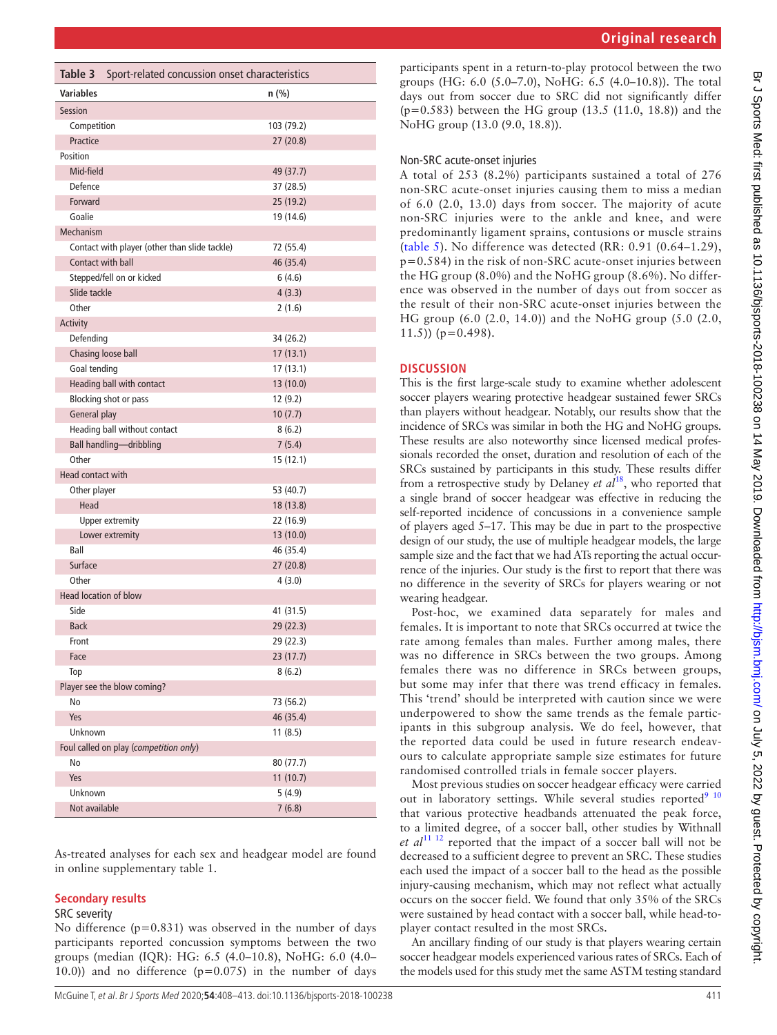<span id="page-3-0"></span>

| Table 3<br>Sport-related concussion onset characteristics |            |  |  |  |  |  |
|-----------------------------------------------------------|------------|--|--|--|--|--|
| <b>Variables</b>                                          | n (%)      |  |  |  |  |  |
| <b>Session</b>                                            |            |  |  |  |  |  |
| Competition                                               | 103 (79.2) |  |  |  |  |  |
| Practice                                                  | 27 (20.8)  |  |  |  |  |  |
| Position                                                  |            |  |  |  |  |  |
| Mid-field                                                 | 49 (37.7)  |  |  |  |  |  |
| Defence                                                   | 37 (28.5)  |  |  |  |  |  |
| Forward                                                   | 25 (19.2)  |  |  |  |  |  |
| Goalie                                                    | 19 (14.6)  |  |  |  |  |  |
| Mechanism                                                 |            |  |  |  |  |  |
| Contact with player (other than slide tackle)             | 72 (55.4)  |  |  |  |  |  |
| Contact with ball                                         | 46 (35.4)  |  |  |  |  |  |
| Stepped/fell on or kicked                                 | 6(4.6)     |  |  |  |  |  |
| Slide tackle                                              | 4(3.3)     |  |  |  |  |  |
| Other                                                     | 2(1.6)     |  |  |  |  |  |
| Activity                                                  |            |  |  |  |  |  |
| Defending                                                 | 34 (26.2)  |  |  |  |  |  |
| Chasing loose ball                                        | 17(13.1)   |  |  |  |  |  |
| Goal tending                                              | 17 (13.1)  |  |  |  |  |  |
| Heading ball with contact                                 | 13 (10.0)  |  |  |  |  |  |
| Blocking shot or pass                                     | 12 (9.2)   |  |  |  |  |  |
| General play                                              | 10(7.7)    |  |  |  |  |  |
| Heading ball without contact                              | 8(6.2)     |  |  |  |  |  |
| Ball handling-dribbling                                   | 7(5.4)     |  |  |  |  |  |
| Other                                                     | 15 (12.1)  |  |  |  |  |  |
| Head contact with                                         |            |  |  |  |  |  |
| Other player                                              | 53 (40.7)  |  |  |  |  |  |
| Head                                                      | 18 (13.8)  |  |  |  |  |  |
| <b>Upper extremity</b>                                    | 22 (16.9)  |  |  |  |  |  |
| Lower extremity                                           | 13 (10.0)  |  |  |  |  |  |
| Ball                                                      | 46 (35.4)  |  |  |  |  |  |
| Surface                                                   | 27(20.8)   |  |  |  |  |  |
| Other                                                     | 4 (3.0)    |  |  |  |  |  |
| <b>Head location of blow</b>                              |            |  |  |  |  |  |
| Side                                                      | 41 (31.5)  |  |  |  |  |  |
| <b>Back</b>                                               | 29 (22.3)  |  |  |  |  |  |
| Front                                                     | 29 (22.3)  |  |  |  |  |  |
| Face                                                      | 23(17.7)   |  |  |  |  |  |
| Top                                                       | 8(6.2)     |  |  |  |  |  |
| Player see the blow coming?                               |            |  |  |  |  |  |
| No                                                        | 73 (56.2)  |  |  |  |  |  |
| Yes                                                       | 46 (35.4)  |  |  |  |  |  |
| <b>Unknown</b><br>11(8.5)                                 |            |  |  |  |  |  |
| Foul called on play (competition only)                    |            |  |  |  |  |  |
| No                                                        | 80 (77.7)  |  |  |  |  |  |
| Yes                                                       | 11(10.7)   |  |  |  |  |  |
| Unknown                                                   | 5(4.9)     |  |  |  |  |  |
| Not available                                             | 7(6.8)     |  |  |  |  |  |

As-treated analyses for each sex and headgear model are found in [online supplementary table 1.](https://dx.doi.org/10.1136/bjsports-2018-100238)

### **Secondary results**

#### SRC severity

No difference  $(p=0.831)$  was observed in the number of days participants reported concussion symptoms between the two groups (median (IQR): HG: 6.5 (4.0–10.8), NoHG: 6.0 (4.0– 10.0)) and no difference  $(p=0.075)$  in the number of days

participants spent in a return-to-play protocol between the two groups (HG: 6.0 (5.0–7.0), NoHG: 6.5 (4.0–10.8)). The total days out from soccer due to SRC did not significantly differ (p=0.583) between the HG group (13.5 (11.0, 18.8)) and the NoHG group (13.0 (9.0, 18.8)).

## Non-SRC acute-onset injuries

A total of 253 (8.2%) participants sustained a total of 276 non-SRC acute-onset injuries causing them to miss a median of 6.0 (2.0, 13.0) days from soccer. The majority of acute non-SRC injuries were to the ankle and knee, and were predominantly ligament sprains, contusions or muscle strains ([table](#page-4-1) 5). No difference was detected (RR: 0.91 (0.64–1.29), p=0.584) in the risk of non-SRC acute-onset injuries between the HG group (8.0%) and the NoHG group (8.6%). No difference was observed in the number of days out from soccer as the result of their non-SRC acute-onset injuries between the HG group (6.0 (2.0, 14.0)) and the NoHG group (5.0 (2.0,  $(11.5)$ ) (p=0.498).

## **Discussion**

This is the first large-scale study to examine whether adolescent soccer players wearing protective headgear sustained fewer SRCs than players without headgear. Notably, our results show that the incidence of SRCs was similar in both the HG and NoHG groups. These results are also noteworthy since licensed medical professionals recorded the onset, duration and resolution of each of the SRCs sustained by participants in this study. These results differ from a retrospective study by Delaney *et al*[18](#page-5-7), who reported that a single brand of soccer headgear was effective in reducing the self-reported incidence of concussions in a convenience sample of players aged 5–17. This may be due in part to the prospective design of our study, the use of multiple headgear models, the large sample size and the fact that we had ATs reporting the actual occurrence of the injuries. Our study is the first to report that there was no difference in the severity of SRCs for players wearing or not wearing headgear.

Post-hoc, we examined data separately for males and females. It is important to note that SRCs occurred at twice the rate among females than males. Further among males, there was no difference in SRCs between the two groups. Among females there was no difference in SRCs between groups, but some may infer that there was trend efficacy in females. This 'trend' should be interpreted with caution since we were underpowered to show the same trends as the female participants in this subgroup analysis. We do feel, however, that the reported data could be used in future research endeavours to calculate appropriate sample size estimates for future randomised controlled trials in female soccer players.

Most previous studies on soccer headgear efficacy were carried out in laboratory settings. While several studies reported<sup>[9 10](#page-5-3)</sup> that various protective headbands attenuated the peak force, to a limited degree, of a soccer ball, other studies by Withnall *et al*<sup>[11 12](#page-5-8)</sup> reported that the impact of a soccer ball will not be decreased to a sufficient degree to prevent an SRC. These studies each used the impact of a soccer ball to the head as the possible injury-causing mechanism, which may not reflect what actually occurs on the soccer field. We found that only 35% of the SRCs were sustained by head contact with a soccer ball, while head-toplayer contact resulted in the most SRCs.

An ancillary finding of our study is that players wearing certain soccer headgear models experienced various rates of SRCs. Each of the models used for this study met the same ASTM testing standard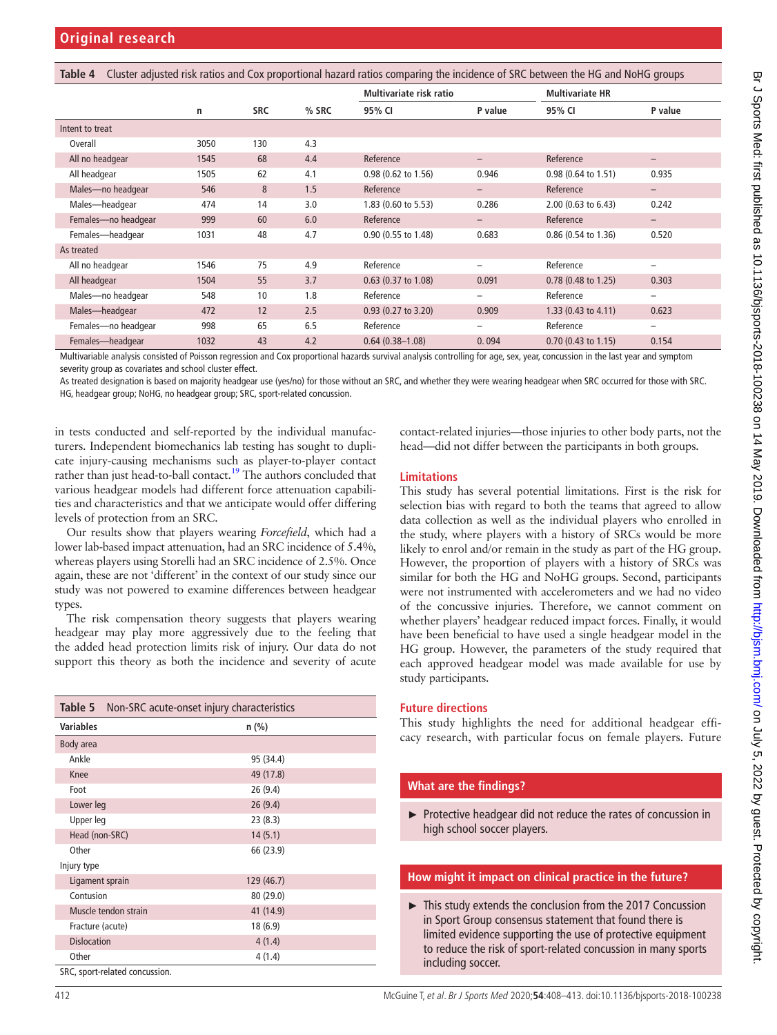<span id="page-4-0"></span>

| Cluster adjusted risk ratios and Cox proportional hazard ratios comparing the incidence of SRC between the HG and NoHG groups<br>Table 4 |      |            |         |                         |                          |                                |                          |
|------------------------------------------------------------------------------------------------------------------------------------------|------|------------|---------|-------------------------|--------------------------|--------------------------------|--------------------------|
|                                                                                                                                          |      |            |         | Multivariate risk ratio |                          | <b>Multivariate HR</b>         |                          |
|                                                                                                                                          | n    | <b>SRC</b> | $%$ SRC | 95% CI                  | P value                  | 95% CI                         | P value                  |
| Intent to treat                                                                                                                          |      |            |         |                         |                          |                                |                          |
| Overall                                                                                                                                  | 3050 | 130        | 4.3     |                         |                          |                                |                          |
| All no headgear                                                                                                                          | 1545 | 68         | 4.4     | Reference               | $\overline{\phantom{0}}$ | Reference                      | -                        |
| All headgear                                                                                                                             | 1505 | 62         | 4.1     | $0.98$ (0.62 to 1.56)   | 0.946                    | $0.98(0.64 \text{ to } 1.51)$  | 0.935                    |
| Males-no headgear                                                                                                                        | 546  | 8          | 1.5     | Reference               | $\qquad \qquad -$        | Reference                      | -                        |
| Males-headgear                                                                                                                           | 474  | 14         | 3.0     | 1.83 (0.60 to 5.53)     | 0.286                    | 2.00 (0.63 to 6.43)            | 0.242                    |
| Females-no headgear                                                                                                                      | 999  | 60         | 6.0     | Reference               | $\qquad \qquad -$        | Reference                      | $\overline{\phantom{0}}$ |
| Females-headgear                                                                                                                         | 1031 | 48         | 4.7     | 0.90 (0.55 to 1.48)     | 0.683                    | $0.86$ (0.54 to 1.36)          | 0.520                    |
| As treated                                                                                                                               |      |            |         |                         |                          |                                |                          |
| All no headgear                                                                                                                          | 1546 | 75         | 4.9     | Reference               | -                        | Reference                      | -                        |
| All headgear                                                                                                                             | 1504 | 55         | 3.7     | $0.63$ (0.37 to 1.08)   | 0.091                    | $0.78$ (0.48 to 1.25)          | 0.303                    |
| Males-no headgear                                                                                                                        | 548  | 10         | 1.8     | Reference               | -                        | Reference                      | -                        |
| Males-headgear                                                                                                                           | 472  | 12         | 2.5     | $0.93$ (0.27 to 3.20)   | 0.909                    | 1.33 $(0.43 \text{ to } 4.11)$ | 0.623                    |
| Females-no headgear                                                                                                                      | 998  | 65         | 6.5     | Reference               | -                        | Reference                      | -                        |
| Females-headgear                                                                                                                         | 1032 | 43         | 4.2     | $0.64(0.38 - 1.08)$     | 0.094                    | $0.70$ (0.43 to 1.15)          | 0.154                    |

Multivariable analysis consisted of Poisson regression and Cox proportional hazards survival analysis controlling for age, sex, year, concussion in the last year and symptom severity group as covariates and school cluster effect.

As treated designation is based on majority headgear use (yes/no) for those without an SRC, and whether they were wearing headgear when SRC occurred for those with SRC. HG, headgear group; NoHG, no headgear group; SRC, sport-related concussion.

in tests conducted and self-reported by the individual manufacturers. Independent biomechanics lab testing has sought to duplicate injury-causing mechanisms such as player-to-player contact rather than just head-to-ball contact.<sup>19</sup> The authors concluded that various headgear models had different force attenuation capabilities and characteristics and that we anticipate would offer differing levels of protection from an SRC.

Our results show that players wearing *Forcefield*, which had a lower lab-based impact attenuation, had an SRC incidence of 5.4%, whereas players using Storelli had an SRC incidence of 2.5%. Once again, these are not 'different' in the context of our study since our study was not powered to examine differences between headgear types.

The risk compensation theory suggests that players wearing headgear may play more aggressively due to the feeling that the added head protection limits risk of injury. Our data do not support this theory as both the incidence and severity of acute

<span id="page-4-1"></span>

| Table 5            |                                | Non-SRC acute-onset injury characteristics |
|--------------------|--------------------------------|--------------------------------------------|
| <b>Variables</b>   |                                | $n$ (%)                                    |
| Body area          |                                |                                            |
| Ankle              |                                | 95 (34.4)                                  |
| Knee               |                                | 49 (17.8)                                  |
| Foot               |                                | 26 (9.4)                                   |
| Lower leg          |                                | 26(9.4)                                    |
| Upper leg          |                                | 23(8.3)                                    |
| Head (non-SRC)     |                                | 14(5.1)                                    |
| Other              |                                | 66 (23.9)                                  |
| Injury type        |                                |                                            |
| Ligament sprain    |                                | 129 (46.7)                                 |
| Contusion          |                                | 80 (29.0)                                  |
|                    | Muscle tendon strain           | 41 (14.9)                                  |
| Fracture (acute)   |                                | 18 (6.9)                                   |
| <b>Dislocation</b> |                                | 4(1.4)                                     |
| Other              |                                | 4(1.4)                                     |
|                    | SRC, sport-related concussion. |                                            |

contact-related injuries—those injuries to other body parts, not the head—did not differ between the participants in both groups.

# **Limitations**

This study has several potential limitations. First is the risk for selection bias with regard to both the teams that agreed to allow data collection as well as the individual players who enrolled in the study, where players with a history of SRCs would be more likely to enrol and/or remain in the study as part of the HG group. However, the proportion of players with a history of SRCs was similar for both the HG and NoHG groups. Second, participants were not instrumented with accelerometers and we had no video of the concussive injuries. Therefore, we cannot comment on whether players' headgear reduced impact forces. Finally, it would have been beneficial to have used a single headgear model in the HG group. However, the parameters of the study required that each approved headgear model was made available for use by study participants.

## **Future directions**

This study highlights the need for additional headgear efficacy research, with particular focus on female players. Future

### **What are the findings?**

► Protective headgear did not reduce the rates of concussion in high school soccer players.

### **How might it impact on clinical practice in the future?**

► This study extends the conclusion from the 2017 Concussion in Sport Group consensus statement that found there is limited evidence supporting the use of protective equipment to reduce the risk of sport-related concussion in many sports including soccer.